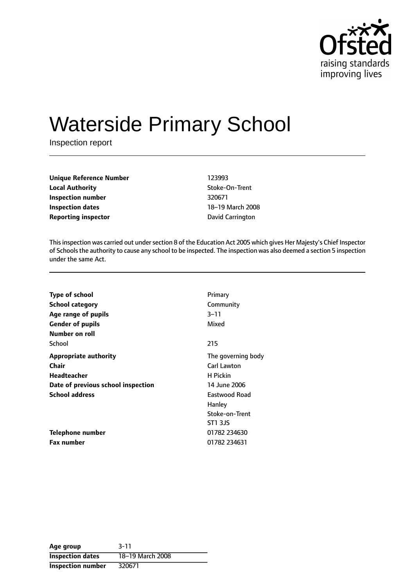

# Waterside Primary School

Inspection report

| <b>Unique Reference Number</b> | 123993           |
|--------------------------------|------------------|
| <b>Local Authority</b>         | Stoke-On-Trent   |
| Inspection number              | 320671           |
| Inspection dates               | 18–19 March 200  |
| <b>Reporting inspector</b>     | David Carrington |

**Stoke-On-Trent** 18-19 March 2008

This inspection was carried out under section 8 of the Education Act 2005 which gives Her Majesty's Chief Inspector of Schools the authority to cause any school to be inspected. The inspection was also deemed a section 5 inspection under the same Act.

| <b>Type of school</b>              | Primary            |
|------------------------------------|--------------------|
| <b>School category</b>             | Community          |
| Age range of pupils                | 3–11               |
| <b>Gender of pupils</b>            | Mixed              |
| Number on roll                     |                    |
| School                             | 215                |
| <b>Appropriate authority</b>       | The governing body |
| Chair                              | <b>Carl Lawton</b> |
| Headteacher                        | H Pickin           |
| Date of previous school inspection | 14 June 2006       |
| <b>School address</b>              | Eastwood Road      |
|                                    | Hanley             |
|                                    | Stoke-on-Trent     |
|                                    | ST1 3JS            |
| Telephone number                   | 01782 234630       |
| <b>Fax number</b>                  | 01782 234631       |

| Age group                | $3 - 11$         |
|--------------------------|------------------|
| <b>Inspection dates</b>  | 18-19 March 2008 |
| <b>Inspection number</b> | 320671           |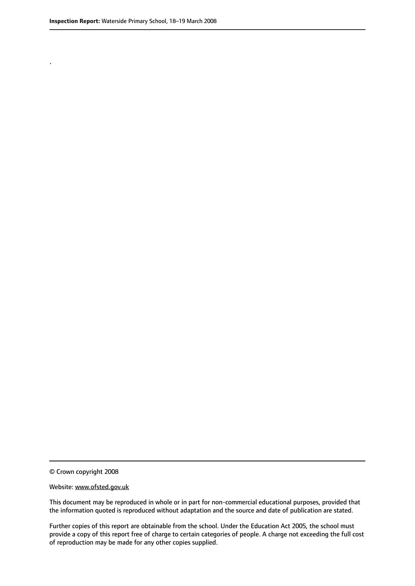.

© Crown copyright 2008

#### Website: www.ofsted.gov.uk

This document may be reproduced in whole or in part for non-commercial educational purposes, provided that the information quoted is reproduced without adaptation and the source and date of publication are stated.

Further copies of this report are obtainable from the school. Under the Education Act 2005, the school must provide a copy of this report free of charge to certain categories of people. A charge not exceeding the full cost of reproduction may be made for any other copies supplied.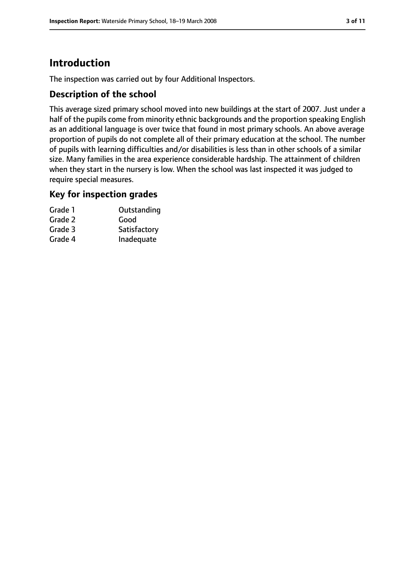# **Introduction**

The inspection was carried out by four Additional Inspectors.

## **Description of the school**

This average sized primary school moved into new buildings at the start of 2007. Just under a half of the pupils come from minority ethnic backgrounds and the proportion speaking English as an additional language is over twice that found in most primary schools. An above average proportion of pupils do not complete all of their primary education at the school. The number of pupils with learning difficulties and/or disabilities is less than in other schools of a similar size. Many families in the area experience considerable hardship. The attainment of children when they start in the nursery is low. When the school was last inspected it was judged to require special measures.

#### **Key for inspection grades**

| Grade 1 | Outstanding  |
|---------|--------------|
| Grade 2 | Good         |
| Grade 3 | Satisfactory |
| Grade 4 | Inadequate   |
|         |              |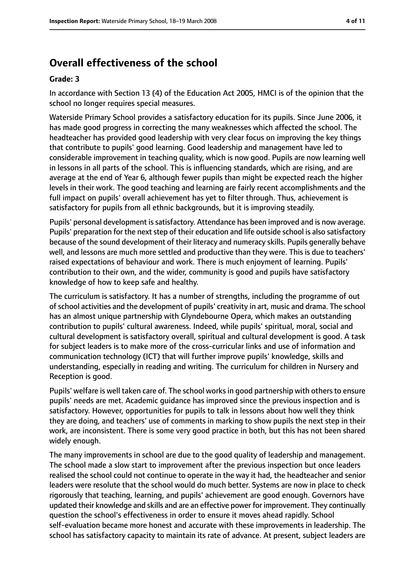# **Overall effectiveness of the school**

#### **Grade: 3**

In accordance with Section 13 (4) of the Education Act 2005, HMCI is of the opinion that the school no longer requires special measures.

Waterside Primary School provides a satisfactory education for its pupils. Since June 2006, it has made good progress in correcting the many weaknesses which affected the school. The headteacher has provided good leadership with very clear focus on improving the key things that contribute to pupils' good learning. Good leadership and management have led to considerable improvement in teaching quality, which is now good. Pupils are now learning well in lessons in all parts of the school. This is influencing standards, which are rising, and are average at the end of Year 6, although fewer pupils than might be expected reach the higher levels in their work. The good teaching and learning are fairly recent accomplishments and the full impact on pupils' overall achievement has yet to filter through. Thus, achievement is satisfactory for pupils from all ethnic backgrounds, but it is improving steadily.

Pupils' personal development is satisfactory. Attendance has been improved and is now average. Pupils' preparation for the next step of their education and life outside school is also satisfactory because of the sound development of their literacy and numeracy skills. Pupils generally behave well, and lessons are much more settled and productive than they were. This is due to teachers' raised expectations of behaviour and work. There is much enjoyment of learning. Pupils' contribution to their own, and the wider, community is good and pupils have satisfactory knowledge of how to keep safe and healthy.

The curriculum is satisfactory. It has a number of strengths, including the programme of out ofschool activities and the development of pupils' creativity in art, music and drama. The school has an almost unique partnership with Glyndebourne Opera, which makes an outstanding contribution to pupils' cultural awareness. Indeed, while pupils' spiritual, moral, social and cultural development is satisfactory overall, spiritual and cultural development is good. A task for subject leaders is to make more of the cross-curricular links and use of information and communication technology (ICT) that will further improve pupils' knowledge, skills and understanding, especially in reading and writing. The curriculum for children in Nursery and Reception is good.

Pupils' welfare is well taken care of. The school works in good partnership with others to ensure pupils' needs are met. Academic guidance has improved since the previous inspection and is satisfactory. However, opportunities for pupils to talk in lessons about how well they think they are doing, and teachers' use of comments in marking to show pupils the next step in their work, are inconsistent. There is some very good practice in both, but this has not been shared widely enough.

The many improvements in school are due to the good quality of leadership and management. The school made a slow start to improvement after the previous inspection but once leaders realised the school could not continue to operate in the way it had, the headteacher and senior leaders were resolute that the school would do much better. Systems are now in place to check rigorously that teaching, learning, and pupils' achievement are good enough. Governors have updated their knowledge and skills and are an effective power for improvement. They continually question the school's effectiveness in order to ensure it moves ahead rapidly. School self-evaluation became more honest and accurate with these improvements in leadership. The school has satisfactory capacity to maintain its rate of advance. At present, subject leaders are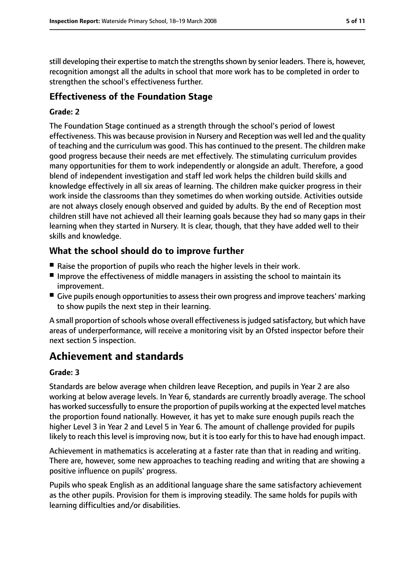still developing their expertise to match the strengthsshown by senior leaders. There is, however, recognition amongst all the adults in school that more work has to be completed in order to strengthen the school's effectiveness further.

## **Effectiveness of the Foundation Stage**

#### **Grade: 2**

The Foundation Stage continued as a strength through the school's period of lowest effectiveness. This was because provision in Nursery and Reception was well led and the quality of teaching and the curriculum was good. This has continued to the present. The children make good progress because their needs are met effectively. The stimulating curriculum provides many opportunities for them to work independently or alongside an adult. Therefore, a good blend of independent investigation and staff led work helps the children build skills and knowledge effectively in all six areas of learning. The children make quicker progress in their work inside the classrooms than they sometimes do when working outside. Activities outside are not always closely enough observed and guided by adults. By the end of Reception most children still have not achieved all their learning goals because they had so many gaps in their learning when they started in Nursery. It is clear, though, that they have added well to their skills and knowledge.

## **What the school should do to improve further**

- Raise the proportion of pupils who reach the higher levels in their work.
- Improve the effectiveness of middle managers in assisting the school to maintain its improvement.
- Give pupils enough opportunities to assess their own progress and improve teachers' marking to show pupils the next step in their learning.

A small proportion of schools whose overall effectiveness is judged satisfactory, but which have areas of underperformance, will receive a monitoring visit by an Ofsted inspector before their next section 5 inspection.

# **Achievement and standards**

#### **Grade: 3**

Standards are below average when children leave Reception, and pupils in Year 2 are also working at below average levels. In Year 6, standards are currently broadly average. The school has worked successfully to ensure the proportion of pupils working at the expected level matches the proportion found nationally. However, it has yet to make sure enough pupils reach the higher Level 3 in Year 2 and Level 5 in Year 6. The amount of challenge provided for pupils likely to reach this level is improving now, but it is too early for this to have had enough impact.

Achievement in mathematics is accelerating at a faster rate than that in reading and writing. There are, however, some new approaches to teaching reading and writing that are showing a positive influence on pupils' progress.

Pupils who speak English as an additional language share the same satisfactory achievement as the other pupils. Provision for them is improving steadily. The same holds for pupils with learning difficulties and/or disabilities.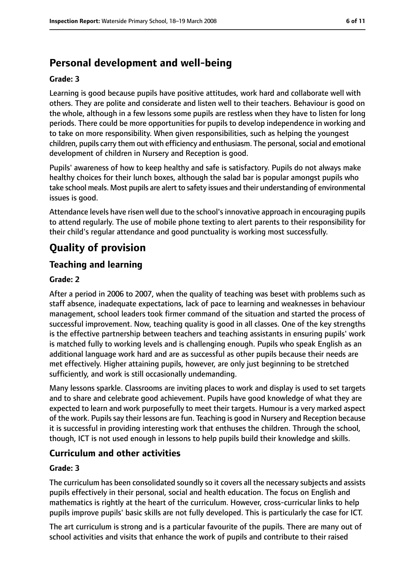# **Personal development and well-being**

#### **Grade: 3**

Learning is good because pupils have positive attitudes, work hard and collaborate well with others. They are polite and considerate and listen well to their teachers. Behaviour is good on the whole, although in a few lessons some pupils are restless when they have to listen for long periods. There could be more opportunities for pupils to develop independence in working and to take on more responsibility. When given responsibilities, such as helping the youngest children, pupils carry them out with efficiency and enthusiasm. The personal, social and emotional development of children in Nursery and Reception is good.

Pupils' awareness of how to keep healthy and safe is satisfactory. Pupils do not always make healthy choices for their lunch boxes, although the salad bar is popular amongst pupils who take school meals. Most pupils are alert to safety issues and their understanding of environmental issues is good.

Attendance levels have risen well due to the school's innovative approach in encouraging pupils to attend regularly. The use of mobile phone texting to alert parents to their responsibility for their child's regular attendance and good punctuality is working most successfully.

# **Quality of provision**

## **Teaching and learning**

#### **Grade: 2**

After a period in 2006 to 2007, when the quality of teaching was beset with problems such as staff absence, inadequate expectations, lack of pace to learning and weaknesses in behaviour management, school leaders took firmer command of the situation and started the process of successful improvement. Now, teaching quality is good in all classes. One of the key strengths is the effective partnership between teachers and teaching assistants in ensuring pupils' work is matched fully to working levels and is challenging enough. Pupils who speak English as an additional language work hard and are as successful as other pupils because their needs are met effectively. Higher attaining pupils, however, are only just beginning to be stretched sufficiently, and work is still occasionally undemanding.

Many lessons sparkle. Classrooms are inviting places to work and display is used to set targets and to share and celebrate good achievement. Pupils have good knowledge of what they are expected to learn and work purposefully to meet their targets. Humour is a very marked aspect of the work. Pupils say their lessons are fun. Teaching is good in Nursery and Reception because it is successful in providing interesting work that enthuses the children. Through the school, though, ICT is not used enough in lessons to help pupils build their knowledge and skills.

## **Curriculum and other activities**

#### **Grade: 3**

The curriculum has been consolidated soundly so it covers all the necessary subjects and assists pupils effectively in their personal, social and health education. The focus on English and mathematics is rightly at the heart of the curriculum. However, cross-curricular links to help pupils improve pupils' basic skills are not fully developed. This is particularly the case for ICT.

The art curriculum is strong and is a particular favourite of the pupils. There are many out of school activities and visits that enhance the work of pupils and contribute to their raised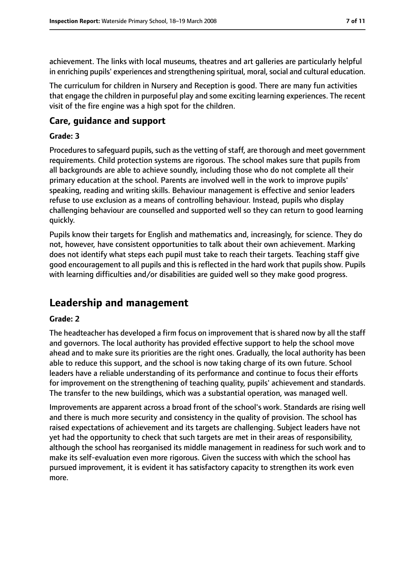achievement. The links with local museums, theatres and art galleries are particularly helpful in enriching pupils' experiences and strengthening spiritual, moral, social and cultural education.

The curriculum for children in Nursery and Reception is good. There are many fun activities that engage the children in purposeful play and some exciting learning experiences. The recent visit of the fire engine was a high spot for the children.

## **Care, guidance and support**

#### **Grade: 3**

Procedures to safeguard pupils, such as the vetting of staff, are thorough and meet government requirements. Child protection systems are rigorous. The school makes sure that pupils from all backgrounds are able to achieve soundly, including those who do not complete all their primary education at the school. Parents are involved well in the work to improve pupils' speaking, reading and writing skills. Behaviour management is effective and senior leaders refuse to use exclusion as a means of controlling behaviour. Instead, pupils who display challenging behaviour are counselled and supported well so they can return to good learning quickly.

Pupils know their targets for English and mathematics and, increasingly, for science. They do not, however, have consistent opportunities to talk about their own achievement. Marking does not identify what steps each pupil must take to reach their targets. Teaching staff give good encouragement to all pupils and this is reflected in the hard work that pupils show. Pupils with learning difficulties and/or disabilities are guided well so they make good progress.

# **Leadership and management**

#### **Grade: 2**

The headteacher has developed a firm focus on improvement that is shared now by all the staff and governors. The local authority has provided effective support to help the school move ahead and to make sure its priorities are the right ones. Gradually, the local authority has been able to reduce this support, and the school is now taking charge of its own future. School leaders have a reliable understanding of its performance and continue to focus their efforts for improvement on the strengthening of teaching quality, pupils' achievement and standards. The transfer to the new buildings, which was a substantial operation, was managed well.

Improvements are apparent across a broad front of the school's work. Standards are rising well and there is much more security and consistency in the quality of provision. The school has raised expectations of achievement and its targets are challenging. Subject leaders have not yet had the opportunity to check that such targets are met in their areas of responsibility, although the school has reorganised its middle management in readiness for such work and to make its self-evaluation even more rigorous. Given the success with which the school has pursued improvement, it is evident it has satisfactory capacity to strengthen its work even more.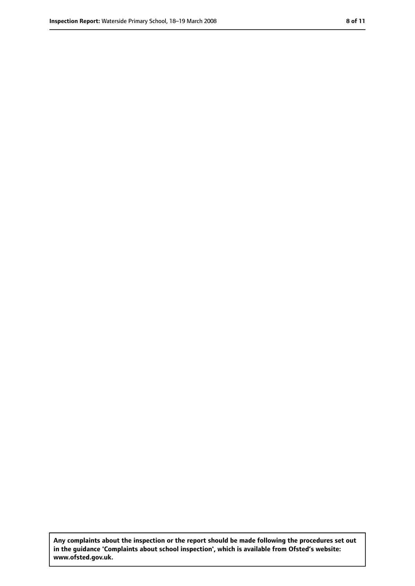**Any complaints about the inspection or the report should be made following the procedures set out in the guidance 'Complaints about school inspection', which is available from Ofsted's website: www.ofsted.gov.uk.**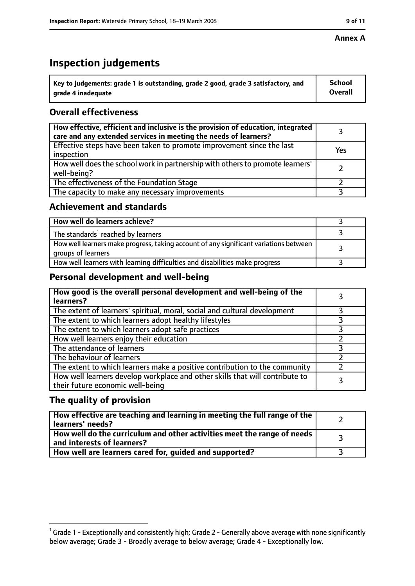#### **Annex A**

# **Inspection judgements**

| $^{\backprime}$ Key to judgements: grade 1 is outstanding, grade 2 good, grade 3 satisfactory, and | <b>School</b>  |
|----------------------------------------------------------------------------------------------------|----------------|
| arade 4 inadequate                                                                                 | <b>Overall</b> |

## **Overall effectiveness**

| How effective, efficient and inclusive is the provision of education, integrated<br>care and any extended services in meeting the needs of learners? |     |
|------------------------------------------------------------------------------------------------------------------------------------------------------|-----|
| Effective steps have been taken to promote improvement since the last<br>inspection                                                                  | Yes |
| How well does the school work in partnership with others to promote learners'<br>well-being?                                                         |     |
| The effectiveness of the Foundation Stage                                                                                                            |     |
| The capacity to make any necessary improvements                                                                                                      |     |

## **Achievement and standards**

| How well do learners achieve?                                                                               |  |
|-------------------------------------------------------------------------------------------------------------|--|
| The standards <sup>1</sup> reached by learners                                                              |  |
| How well learners make progress, taking account of any significant variations between<br>groups of learners |  |
| How well learners with learning difficulties and disabilities make progress                                 |  |

## **Personal development and well-being**

| How good is the overall personal development and well-being of the<br>learners?                                  |  |
|------------------------------------------------------------------------------------------------------------------|--|
| The extent of learners' spiritual, moral, social and cultural development                                        |  |
| The extent to which learners adopt healthy lifestyles                                                            |  |
| The extent to which learners adopt safe practices                                                                |  |
| How well learners enjoy their education                                                                          |  |
| The attendance of learners                                                                                       |  |
| The behaviour of learners                                                                                        |  |
| The extent to which learners make a positive contribution to the community                                       |  |
| How well learners develop workplace and other skills that will contribute to<br>their future economic well-being |  |

## **The quality of provision**

| How effective are teaching and learning in meeting the full range of the<br>learners' needs?          |  |
|-------------------------------------------------------------------------------------------------------|--|
| How well do the curriculum and other activities meet the range of needs<br>and interests of learners? |  |
| How well are learners cared for, quided and supported?                                                |  |

 $^1$  Grade 1 - Exceptionally and consistently high; Grade 2 - Generally above average with none significantly below average; Grade 3 - Broadly average to below average; Grade 4 - Exceptionally low.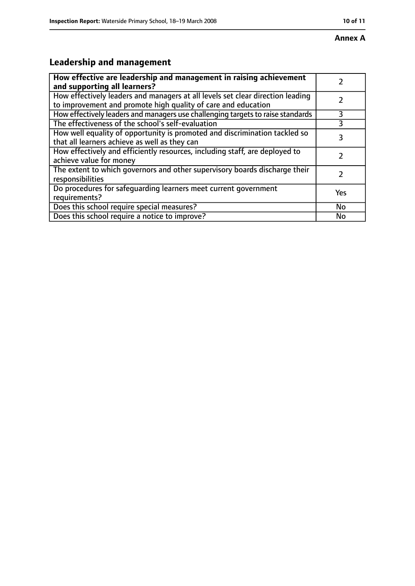# **Annex A**

# **Leadership and management**

| How effective are leadership and management in raising achievement              |     |
|---------------------------------------------------------------------------------|-----|
| and supporting all learners?                                                    |     |
| How effectively leaders and managers at all levels set clear direction leading  |     |
| to improvement and promote high quality of care and education                   |     |
| How effectively leaders and managers use challenging targets to raise standards | 3   |
| The effectiveness of the school's self-evaluation                               | 3   |
| How well equality of opportunity is promoted and discrimination tackled so      | 3   |
| that all learners achieve as well as they can                                   |     |
| How effectively and efficiently resources, including staff, are deployed to     |     |
| achieve value for money                                                         |     |
| The extent to which governors and other supervisory boards discharge their      |     |
| responsibilities                                                                |     |
| Do procedures for safequarding learners meet current government                 | Yes |
| requirements?                                                                   |     |
| Does this school require special measures?                                      | No  |
| Does this school require a notice to improve?                                   | No  |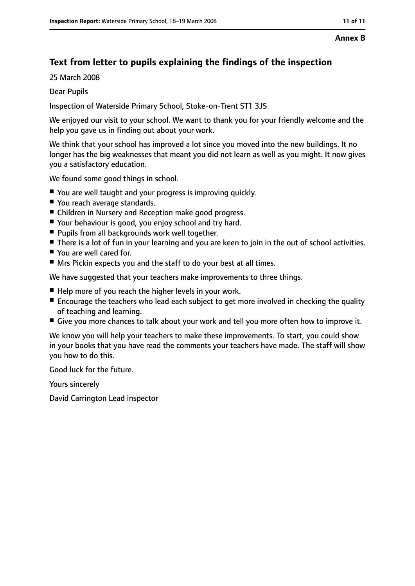#### **Annex B**

# **Text from letter to pupils explaining the findings of the inspection**

25 March 2008

#### Dear Pupils

Inspection of Waterside Primary School, Stoke-on-Trent ST1 3JS

We enjoyed our visit to your school. We want to thank you for your friendly welcome and the help you gave us in finding out about your work.

We think that your school has improved a lot since you moved into the new buildings. It no longer has the big weaknesses that meant you did not learn as well as you might. It now gives you a satisfactory education.

We found some good things in school.

- You are well taught and your progress is improving quickly.
- You reach average standards.
- Children in Nursery and Reception make good progress.
- Your behaviour is good, you enjoy school and try hard.
- Pupils from all backgrounds work well together.
- There is a lot of fun in your learning and you are keen to join in the out of school activities.
- You are well cared for.
- Mrs Pickin expects you and the staff to do your best at all times.

We have suggested that your teachers make improvements to three things.

- Help more of you reach the higher levels in your work.
- Encourage the teachers who lead each subject to get more involved in checking the quality of teaching and learning.
- Give you more chances to talk about your work and tell you more often how to improve it.

We know you will help your teachers to make these improvements. To start, you could show in your books that you have read the comments your teachers have made. The staff will show you how to do this.

Good luck for the future.

Yours sincerely

David Carrington Lead inspector